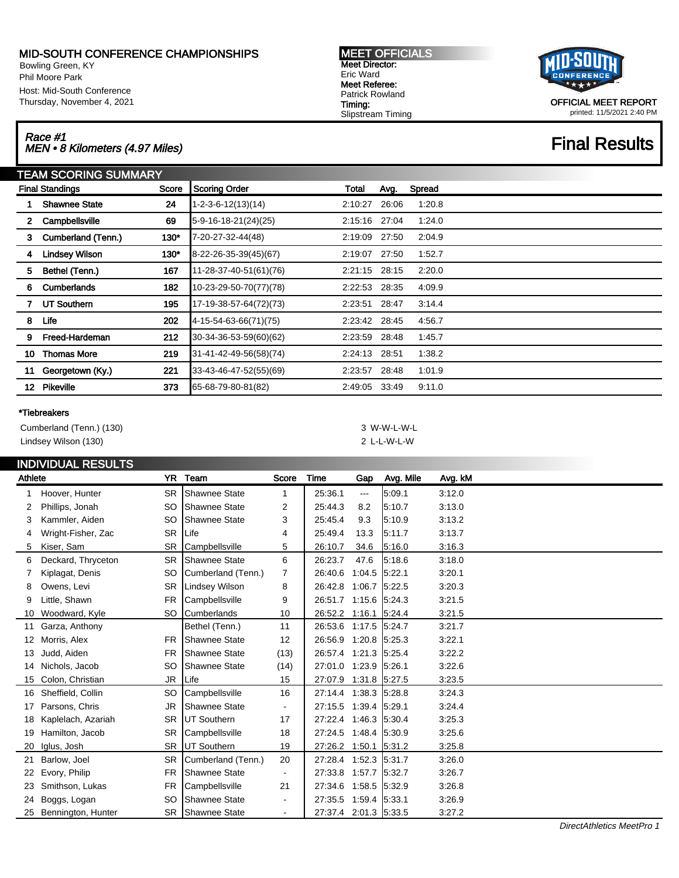# MID-SOUTH CONFERENCE CHAMPIONSHIPS

Bowling Green, KY Phil Moore Park Host: Mid-South Conference Thursday, November 4, 2021

# Race #1<br>MEN • 8 Kilometers (4.97 Miles) Final Results

| <b>MEET OFFICIALS</b>  |  |
|------------------------|--|
| <b>Meet Director:</b>  |  |
| Eric Ward              |  |
| Meet Referee:          |  |
| <b>Patrick Rowland</b> |  |
| Timing:                |  |
| Slipstream Timing      |  |



OFFICIAL MEET REPORT printed: 11/5/2021 2:40 PM

|         | <b>TEAM SCORING SUMMARY</b> |       |                              |         |       |        |  |  |  |
|---------|-----------------------------|-------|------------------------------|---------|-------|--------|--|--|--|
|         | <b>Final Standings</b>      | Score | <b>Scoring Order</b>         | Total   | Avg.  | Spread |  |  |  |
|         | <b>Shawnee State</b>        | 24    | $1 - 2 - 3 - 6 - 12(13)(14)$ | 2:10:27 | 26:06 | 1:20.8 |  |  |  |
| 2.      | Campbellsville              | 69    | 5-9-16-18-21(24)(25)         | 2:15:16 | 27:04 | 1:24.0 |  |  |  |
| 3       | Cumberland (Tenn.)          | 130"  | 7-20-27-32-44(48)            | 2:19:09 | 27:50 | 2:04.9 |  |  |  |
| 4       | <b>Lindsey Wilson</b>       | 130"  | 8-22-26-35-39(45)(67)        | 2:19:07 | 27:50 | 1:52.7 |  |  |  |
| 5       | Bethel (Tenn.)              | 167   | 11-28-37-40-51(61)(76)       | 2:21:15 | 28:15 | 2:20.0 |  |  |  |
| 6       | <b>Cumberlands</b>          | 182   | 10-23-29-50-70(77)(78)       | 2:22:53 | 28:35 | 4:09.9 |  |  |  |
|         | <b>UT Southern</b>          | 195   | 17-19-38-57-64(72)(73)       | 2:23:51 | 28:47 | 3:14.4 |  |  |  |
| 8       | Life                        | 202   | 4-15-54-63-66(71)(75)        | 2:23:42 | 28:45 | 4:56.7 |  |  |  |
| 9       | Freed-Hardeman              | 212   | 30-34-36-53-59(60)(62)       | 2:23:59 | 28:48 | 1:45.7 |  |  |  |
| 10      | <b>Thomas More</b>          | 219   | 31-41-42-49-56(58)(74)       | 2:24:13 | 28:51 | 1:38.2 |  |  |  |
| 11      | Georgetown (Ky.)            | 221   | 33-43-46-47-52(55)(69)       | 2:23:57 | 28:48 | 1:01.9 |  |  |  |
| $12 \,$ | Pikeville                   | 373   | 65-68-79-80-81(82)           | 2:49:05 | 33:49 | 9:11.0 |  |  |  |

#### \*Tiebreakers

| Cumberland (Tenn.) (130) | 3 W-W-L-W-L    |
|--------------------------|----------------|
| Lindsey Wilson (130)     | 2 I -I -W-I -W |

## INDIVIDUAL RESULTS

| Athlete |                    |           | YR Team                 | Score          | Time                  | Gap             | Avg. Mile | Avg. kM |
|---------|--------------------|-----------|-------------------------|----------------|-----------------------|-----------------|-----------|---------|
|         | Hoover, Hunter     | <b>SR</b> | Shawnee State           | 1              | 25:36.1               | $\overline{a}$  | 5:09.1    | 3:12.0  |
| 2       | Phillips, Jonah    | <b>SO</b> | <b>Shawnee State</b>    | 2              | 25:44.3               | 8.2             | 5:10.7    | 3.13.0  |
| 3       | Kammler, Aiden     | <b>SO</b> | <b>Shawnee State</b>    | 3              | 25:45.4               | 9.3             | 5:10.9    | 3:13.2  |
| 4       | Wright-Fisher, Zac | <b>SR</b> | Life                    | 4              | 25:49.4               | 13.3            | 5.11.7    | 3:13.7  |
| 5       | Kiser, Sam         | <b>SR</b> | Campbellsville          | 5              | 26:10.7               | 34.6            | 5:16.0    | 3:16.3  |
| 6       | Deckard, Thryceton | <b>SR</b> | Shawnee State           | 6              | 26:23.7               | 47.6            | 5:18.6    | 3:18.0  |
|         | Kiplagat, Denis    | <b>SO</b> | Cumberland (Tenn.)      | 7              | 26:40.6               | $1:04.5$ 5:22.1 |           | 3:20.1  |
| 8       | Owens, Levi        | <b>SR</b> | Lindsey Wilson          | 8              | 26:42.8               | 1:06.7          | 5:22.5    | 3:20.3  |
| 9       | Little, Shawn      | <b>FR</b> | Campbellsville          | 9              | 26:51.7               | 1:15.6 5:24.3   |           | 3.21.5  |
| 10      | Woodward, Kyle     | SO        | <b>Cumberlands</b>      | 10             | 26:52.2               | $1:16.1$ 5:24.4 |           | 3.21.5  |
| 11      | Garza, Anthony     |           | Bethel (Tenn.)          | 11             | 26:53.6               | 1:17.5 5:24.7   |           | 3:21.7  |
| 12      | Morris, Alex       | <b>FR</b> | Shawnee State           | 12             | 26:56.9               | $1:20.8$ 5:25.3 |           | 3:22.1  |
| 13      | Judd, Aiden        | <b>FR</b> | Shawnee State           | (13)           | 26:57.4               | 1:21.3 5:25.4   |           | 3:22.2  |
| 14      | Nichols, Jacob     | <b>SO</b> | <b>Shawnee State</b>    | (14)           | 27:01.0               | 1:23.9 5:26.1   |           | 3:22.6  |
| 15      | Colon, Christian   | JR        | Life                    | 15             | 27:07.9               | 1:31.8 5:27.5   |           | 3:23.5  |
| 16      | Sheffield, Collin  | <b>SO</b> | Campbellsville          | 16             | 27:14.4 1:38.3 5:28.8 |                 |           | 3.24.3  |
| 17      | Parsons, Chris     | JR.       | Shawnee State           | $\sim$         | 27:15.5               | $1:39.4$ 5:29.1 |           | 3:24.4  |
| 18      | Kaplelach, Azariah | <b>SR</b> | UT Southern             | 17             | 27:22.4               | 1:46.3 5:30.4   |           | 3:25.3  |
| 19      | Hamilton, Jacob    | <b>SR</b> | Campbellsville          | 18             | 27:24.5               | 1:48.4 5:30.9   |           | 3.25.6  |
| 20      | Iglus, Josh        | <b>SR</b> | UT Southern             | 19             | 27:26.2               | $1:50.1$ 5:31.2 |           | 3:25.8  |
| 21      | Barlow, Joel       | <b>SR</b> | Cumberland (Tenn.)      | 20             | 27:28.4               | 1:52.3 5:31.7   |           | 3:26.0  |
| 22      | Evory, Philip      | <b>FR</b> | <b>Shawnee State</b>    | $\blacksquare$ | 27:33.8               | 1:57.7          | 5:32.7    | 3.26.7  |
| 23      | Smithson, Lukas    | <b>FR</b> | Campbellsville          | 21             | 27:34.6               | 1:58.5 5:32.9   |           | 3:26.8  |
| 24      | Boggs, Logan       | <b>SO</b> | <b>Shawnee State</b>    | $\blacksquare$ | 27:35.5               | $1:59.4$ 5:33.1 |           | 3:26.9  |
| 25      | Bennington, Hunter |           | <b>SR</b> Shawnee State |                | 27:37.4 2:01.3 5:33.5 |                 |           | 3:27.2  |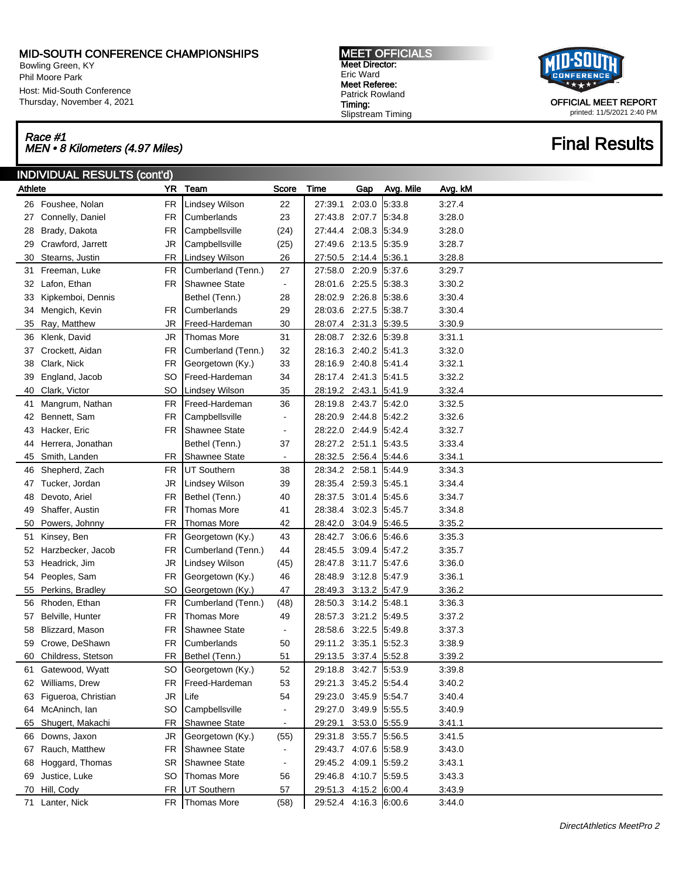### MID-SOUTH CONFERENCE CHAMPIONSHIPS

Bowling Green, KY Phil Moore Park Host: Mid-South Conference Thursday, November 4, 2021

### Race #1 Race #1<br>MEN • 8 Kilometers (4.97 Miles) Final Results

MEET OFFICIALS Meet Director: Eric Ward Meet Referee: Patrick Rowland Timing: Slipstream Timing



OFFICIAL MEET REPORT printed: 11/5/2021 2:40 PM

| YR Team<br>Athlete<br>Score<br>Time<br>Gap<br>Avg. Mile<br>Avg. kM<br>5:33.8<br>26 Foushee, Nolan<br><b>FR</b><br>Lindsey Wilson<br>22<br>27:39.1<br>2:03.0<br>3:27.4<br>FR<br>23<br>27:43.8<br>2:07.7<br>5:34.8<br>3:28.0<br>Connelly, Daniel<br>Cumberlands<br>27<br>FR<br>27.44.4<br>2:08.3<br>5:34.9<br>3:28.0<br>Brady, Dakota<br>Campbellsville<br>(24)<br>28<br>JR<br>(25)<br>27:49.6<br>2:13.5<br>5.35.9<br>3:28.7<br>Crawford, Jarrett<br>Campbellsville<br>29<br>Stearns, Justin<br>FR<br>26<br>27:50.5<br>2:14.4<br>5:36.1<br>3:28.8<br>30<br>Lindsey Wilson<br>Freeman, Luke<br><b>FR</b><br>27<br>27:58.0 2:20.9<br>5.37.6<br>3:29.7<br>Cumberland (Tenn.)<br>31<br>FR<br>28:01.6<br>2:25.5<br>5:38.3<br>3:30.2<br>Lafon, Ethan<br><b>Shawnee State</b><br>32<br>$\blacksquare$<br>Bethel (Tenn.)<br>28<br>28:02.9<br>2:26.8<br>5:38.6<br>3:30.4<br>Kipkemboi, Dennis<br>33<br>2:27.5<br>29<br>28:03.6<br>5:38.7<br>3:30.4<br>Mengich, Kevin<br>FR.<br>Cumberlands<br>34<br>Ray, Matthew<br>JR<br>30<br>2:31.3 5:39.5<br>3:30.9<br>35<br>Freed-Hardeman<br>28:07.4<br>Klenk, David<br>JR<br><b>Thomas More</b><br>31<br>28:08.7 2:32.6<br>5:39.8<br>3:31.1<br>36<br>FR<br>32<br>28:16.3<br>2:40.2<br>5:41.3<br>3:32.0<br>Crockett, Aidan<br>Cumberland (Tenn.)<br>37<br>Clark, Nick<br><b>FR</b><br>33<br>28:16.9<br>2:40.8<br>5.41.4<br>3:32.1<br>Georgetown (Ky.)<br>38<br>SO<br>Freed-Hardeman<br>34<br>2:41.3<br>5.41.5<br>3:32.2<br>39<br>England, Jacob<br>28:17.4<br>Clark, Victor<br><b>SO</b><br>35<br>28:19.2<br>2:43.1<br>5:41.9<br>3:32.4<br>40<br>Lindsey Wilson<br>3:32.5<br>Mangrum, Nathan<br><b>FR</b><br>Freed-Hardeman<br>36<br>2:43.7<br>5:42.0<br>28:19.8<br>41<br><b>FR</b><br>28:20.9<br>2:44.8<br>5.42.2<br>3:32.6<br>Bennett, Sam<br>Campbellsville<br>42<br>$\overline{\phantom{a}}$<br>FR<br><b>Shawnee State</b><br>28:22.0<br>2:44.9<br>5.42.4<br>3:32.7<br>Hacker, Eric<br>43<br>$\overline{\phantom{a}}$<br>Bethel (Tenn.)<br>37<br>28:27.2 2:51.1<br>5.43.5<br>3:33.4<br>Herrera, Jonathan<br>44<br>Smith, Landen<br>Shawnee State<br>28:32.5<br>2:56.4 5:44.6<br>3:34.1<br>45<br>FR<br>$\blacksquare$<br>Shepherd, Zach<br><b>FR</b><br><b>UT Southern</b><br>38<br>28:34.2<br>2:58.1<br>5:44.9<br>3:34.3<br>46<br>JR<br>39<br>28:35.4<br>2:59.3<br>5.45.1<br>3:34.4<br>Tucker, Jordan<br>Lindsey Wilson<br>47<br>FR<br>40<br>28:37.5<br>3:01.4<br>5.45.6<br>3:34.7<br>Devoto, Ariel<br>Bethel (Tenn.)<br>48<br>3:02.3<br>Shaffer, Austin<br>FR<br>28:38.4<br>5.45.7<br>3:34.8<br>Thomas More<br>41<br>49<br>Powers, Johnny<br>FR<br>42<br>28:42.0<br>3:04.9<br>5.46.5<br>3:35.2<br>Thomas More<br>50<br>Kinsey, Ben<br><b>FR</b><br>43<br>3.06.6<br>5.46.6<br>3:35.3<br>Georgetown (Ky.)<br>28:42.7<br>51<br>FR<br>44<br>28:45.5<br>3:09.4<br>5.47.2<br>3:35.7<br>Harzbecker, Jacob<br>Cumberland (Tenn.)<br>52<br>JR<br>28:47.8<br>3:11.7<br>5.47.6<br>3:36.0<br>Headrick, Jim<br>Lindsey Wilson<br>(45)<br>53<br>Peoples, Sam<br><b>FR</b><br>28:48.9<br>3.12.8<br>5:47.9<br>3:36.1<br>Georgetown (Ky.)<br>46<br>54<br>Perkins, Bradley<br>SO<br>47<br>28:49.3<br>3:13.2<br>5:47.9<br>3:36.2<br>55<br>Georgetown (Ky.)<br><b>FR</b><br>3:14.2<br>5:48.1<br>3:36.3<br>Rhoden, Ethan<br>Cumberland (Tenn.)<br>(48)<br>28:50.3<br>56<br>FR<br>28:57.3<br>3:21.2<br>5:49.5<br>3:37.2<br>Belville, Hunter<br>Thomas More<br>49<br>57<br><b>FR</b><br>Shawnee State<br>28:58.6<br>3:22.5<br>5.49.8<br>Blizzard, Mason<br>3:37.3<br>58<br>$\overline{\phantom{a}}$<br>Crowe, DeShawn<br>29:11.2<br>3:35.1<br>5.52.3<br>3:38.9<br>FR<br>Cumberlands<br>50<br>59<br>3:37.4 5:52.8<br>Childress, Stetson<br>FR<br>Bethel (Tenn.)<br>51<br>29:13.5<br>3:39.2<br>60<br>Gatewood, Wyatt<br>Georgetown (Ky.)<br>52<br>29:18.8 3:42.7<br>5:53.9<br>3:39.8<br>SO<br>61<br>29:21.3 3:45.2<br>Williams, Drew<br>Freed-Hardeman<br>53<br>5:54.4<br>3:40.2<br>FR<br>62<br>29:23.0 3:45.9<br>Figueroa, Christian<br>JR<br>Life<br>54<br>5:54.7<br>3:40.4<br>63<br>3:49.9<br>Campbellsville<br>29:27.0<br>5:55.5<br>3:40.9<br>McAninch, Ian<br>SO<br>64<br>3.53.0 5.55.9<br>Shugert, Makachi<br>FR<br>Shawnee State<br>29:29.1<br>3:41.1<br>65<br>$\blacksquare$<br>Downs, Jaxon<br>JR<br>Georgetown (Ky.)<br>29:31.8 3:55.7<br>5:56.5<br>3:41.5<br>(55)<br>66<br>Rauch, Matthew<br>Shawnee State<br>29:43.7 4:07.6<br>5:58.9<br>3:43.0<br>FR<br>67<br>$\blacksquare$<br>29:45.2 4:09.1<br>Hoggard, Thomas<br><b>SR</b><br>Shawnee State<br>5:59.2<br>3:43.1<br>68<br>$\blacksquare$<br>29:46.8 4:10.7<br>Justice, Luke<br><b>Thomas More</b><br>5:59.5<br>3:43.3<br>SO<br>56<br>69<br>Hill, Cody<br>UT Southern<br>29:51.3 4:15.2 6:00.4<br>FR<br>57<br>3:43.9<br>70<br>71 Lanter, Nick<br>29:52.4 4:16.3 6:00.6 | INDIVIDUAL RESULTS (cont'd) |  |                |      |  |  |  |        |  |  |
|----------------------------------------------------------------------------------------------------------------------------------------------------------------------------------------------------------------------------------------------------------------------------------------------------------------------------------------------------------------------------------------------------------------------------------------------------------------------------------------------------------------------------------------------------------------------------------------------------------------------------------------------------------------------------------------------------------------------------------------------------------------------------------------------------------------------------------------------------------------------------------------------------------------------------------------------------------------------------------------------------------------------------------------------------------------------------------------------------------------------------------------------------------------------------------------------------------------------------------------------------------------------------------------------------------------------------------------------------------------------------------------------------------------------------------------------------------------------------------------------------------------------------------------------------------------------------------------------------------------------------------------------------------------------------------------------------------------------------------------------------------------------------------------------------------------------------------------------------------------------------------------------------------------------------------------------------------------------------------------------------------------------------------------------------------------------------------------------------------------------------------------------------------------------------------------------------------------------------------------------------------------------------------------------------------------------------------------------------------------------------------------------------------------------------------------------------------------------------------------------------------------------------------------------------------------------------------------------------------------------------------------------------------------------------------------------------------------------------------------------------------------------------------------------------------------------------------------------------------------------------------------------------------------------------------------------------------------------------------------------------------------------------------------------------------------------------------------------------------------------------------------------------------------------------------------------------------------------------------------------------------------------------------------------------------------------------------------------------------------------------------------------------------------------------------------------------------------------------------------------------------------------------------------------------------------------------------------------------------------------------------------------------------------------------------------------------------------------------------------------------------------------------------------------------------------------------------------------------------------------------------------------------------------------------------------------------------------------------------------------------------------------------------------------------------------------------------------------------------------------------------------------------------------------------------------------------------------------------------------------------------------------------------------------------------------------------------------------------------------------------------------------------------------------------------------------------------------------------------------------------------------------------------------------------------------------------------------------------------------------------------------------------------------------------------------------------------------------------------------------|-----------------------------|--|----------------|------|--|--|--|--------|--|--|
|                                                                                                                                                                                                                                                                                                                                                                                                                                                                                                                                                                                                                                                                                                                                                                                                                                                                                                                                                                                                                                                                                                                                                                                                                                                                                                                                                                                                                                                                                                                                                                                                                                                                                                                                                                                                                                                                                                                                                                                                                                                                                                                                                                                                                                                                                                                                                                                                                                                                                                                                                                                                                                                                                                                                                                                                                                                                                                                                                                                                                                                                                                                                                                                                                                                                                                                                                                                                                                                                                                                                                                                                                                                                                                                                                                                                                                                                                                                                                                                                                                                                                                                                                                                                                                                                                                                                                                                                                                                                                                                                                                                                                                                                                                                                              |                             |  |                |      |  |  |  |        |  |  |
|                                                                                                                                                                                                                                                                                                                                                                                                                                                                                                                                                                                                                                                                                                                                                                                                                                                                                                                                                                                                                                                                                                                                                                                                                                                                                                                                                                                                                                                                                                                                                                                                                                                                                                                                                                                                                                                                                                                                                                                                                                                                                                                                                                                                                                                                                                                                                                                                                                                                                                                                                                                                                                                                                                                                                                                                                                                                                                                                                                                                                                                                                                                                                                                                                                                                                                                                                                                                                                                                                                                                                                                                                                                                                                                                                                                                                                                                                                                                                                                                                                                                                                                                                                                                                                                                                                                                                                                                                                                                                                                                                                                                                                                                                                                                              |                             |  |                |      |  |  |  |        |  |  |
|                                                                                                                                                                                                                                                                                                                                                                                                                                                                                                                                                                                                                                                                                                                                                                                                                                                                                                                                                                                                                                                                                                                                                                                                                                                                                                                                                                                                                                                                                                                                                                                                                                                                                                                                                                                                                                                                                                                                                                                                                                                                                                                                                                                                                                                                                                                                                                                                                                                                                                                                                                                                                                                                                                                                                                                                                                                                                                                                                                                                                                                                                                                                                                                                                                                                                                                                                                                                                                                                                                                                                                                                                                                                                                                                                                                                                                                                                                                                                                                                                                                                                                                                                                                                                                                                                                                                                                                                                                                                                                                                                                                                                                                                                                                                              |                             |  |                |      |  |  |  |        |  |  |
|                                                                                                                                                                                                                                                                                                                                                                                                                                                                                                                                                                                                                                                                                                                                                                                                                                                                                                                                                                                                                                                                                                                                                                                                                                                                                                                                                                                                                                                                                                                                                                                                                                                                                                                                                                                                                                                                                                                                                                                                                                                                                                                                                                                                                                                                                                                                                                                                                                                                                                                                                                                                                                                                                                                                                                                                                                                                                                                                                                                                                                                                                                                                                                                                                                                                                                                                                                                                                                                                                                                                                                                                                                                                                                                                                                                                                                                                                                                                                                                                                                                                                                                                                                                                                                                                                                                                                                                                                                                                                                                                                                                                                                                                                                                                              |                             |  |                |      |  |  |  |        |  |  |
|                                                                                                                                                                                                                                                                                                                                                                                                                                                                                                                                                                                                                                                                                                                                                                                                                                                                                                                                                                                                                                                                                                                                                                                                                                                                                                                                                                                                                                                                                                                                                                                                                                                                                                                                                                                                                                                                                                                                                                                                                                                                                                                                                                                                                                                                                                                                                                                                                                                                                                                                                                                                                                                                                                                                                                                                                                                                                                                                                                                                                                                                                                                                                                                                                                                                                                                                                                                                                                                                                                                                                                                                                                                                                                                                                                                                                                                                                                                                                                                                                                                                                                                                                                                                                                                                                                                                                                                                                                                                                                                                                                                                                                                                                                                                              |                             |  |                |      |  |  |  |        |  |  |
|                                                                                                                                                                                                                                                                                                                                                                                                                                                                                                                                                                                                                                                                                                                                                                                                                                                                                                                                                                                                                                                                                                                                                                                                                                                                                                                                                                                                                                                                                                                                                                                                                                                                                                                                                                                                                                                                                                                                                                                                                                                                                                                                                                                                                                                                                                                                                                                                                                                                                                                                                                                                                                                                                                                                                                                                                                                                                                                                                                                                                                                                                                                                                                                                                                                                                                                                                                                                                                                                                                                                                                                                                                                                                                                                                                                                                                                                                                                                                                                                                                                                                                                                                                                                                                                                                                                                                                                                                                                                                                                                                                                                                                                                                                                                              |                             |  |                |      |  |  |  |        |  |  |
|                                                                                                                                                                                                                                                                                                                                                                                                                                                                                                                                                                                                                                                                                                                                                                                                                                                                                                                                                                                                                                                                                                                                                                                                                                                                                                                                                                                                                                                                                                                                                                                                                                                                                                                                                                                                                                                                                                                                                                                                                                                                                                                                                                                                                                                                                                                                                                                                                                                                                                                                                                                                                                                                                                                                                                                                                                                                                                                                                                                                                                                                                                                                                                                                                                                                                                                                                                                                                                                                                                                                                                                                                                                                                                                                                                                                                                                                                                                                                                                                                                                                                                                                                                                                                                                                                                                                                                                                                                                                                                                                                                                                                                                                                                                                              |                             |  |                |      |  |  |  |        |  |  |
|                                                                                                                                                                                                                                                                                                                                                                                                                                                                                                                                                                                                                                                                                                                                                                                                                                                                                                                                                                                                                                                                                                                                                                                                                                                                                                                                                                                                                                                                                                                                                                                                                                                                                                                                                                                                                                                                                                                                                                                                                                                                                                                                                                                                                                                                                                                                                                                                                                                                                                                                                                                                                                                                                                                                                                                                                                                                                                                                                                                                                                                                                                                                                                                                                                                                                                                                                                                                                                                                                                                                                                                                                                                                                                                                                                                                                                                                                                                                                                                                                                                                                                                                                                                                                                                                                                                                                                                                                                                                                                                                                                                                                                                                                                                                              |                             |  |                |      |  |  |  |        |  |  |
|                                                                                                                                                                                                                                                                                                                                                                                                                                                                                                                                                                                                                                                                                                                                                                                                                                                                                                                                                                                                                                                                                                                                                                                                                                                                                                                                                                                                                                                                                                                                                                                                                                                                                                                                                                                                                                                                                                                                                                                                                                                                                                                                                                                                                                                                                                                                                                                                                                                                                                                                                                                                                                                                                                                                                                                                                                                                                                                                                                                                                                                                                                                                                                                                                                                                                                                                                                                                                                                                                                                                                                                                                                                                                                                                                                                                                                                                                                                                                                                                                                                                                                                                                                                                                                                                                                                                                                                                                                                                                                                                                                                                                                                                                                                                              |                             |  |                |      |  |  |  |        |  |  |
|                                                                                                                                                                                                                                                                                                                                                                                                                                                                                                                                                                                                                                                                                                                                                                                                                                                                                                                                                                                                                                                                                                                                                                                                                                                                                                                                                                                                                                                                                                                                                                                                                                                                                                                                                                                                                                                                                                                                                                                                                                                                                                                                                                                                                                                                                                                                                                                                                                                                                                                                                                                                                                                                                                                                                                                                                                                                                                                                                                                                                                                                                                                                                                                                                                                                                                                                                                                                                                                                                                                                                                                                                                                                                                                                                                                                                                                                                                                                                                                                                                                                                                                                                                                                                                                                                                                                                                                                                                                                                                                                                                                                                                                                                                                                              |                             |  |                |      |  |  |  |        |  |  |
|                                                                                                                                                                                                                                                                                                                                                                                                                                                                                                                                                                                                                                                                                                                                                                                                                                                                                                                                                                                                                                                                                                                                                                                                                                                                                                                                                                                                                                                                                                                                                                                                                                                                                                                                                                                                                                                                                                                                                                                                                                                                                                                                                                                                                                                                                                                                                                                                                                                                                                                                                                                                                                                                                                                                                                                                                                                                                                                                                                                                                                                                                                                                                                                                                                                                                                                                                                                                                                                                                                                                                                                                                                                                                                                                                                                                                                                                                                                                                                                                                                                                                                                                                                                                                                                                                                                                                                                                                                                                                                                                                                                                                                                                                                                                              |                             |  |                |      |  |  |  |        |  |  |
|                                                                                                                                                                                                                                                                                                                                                                                                                                                                                                                                                                                                                                                                                                                                                                                                                                                                                                                                                                                                                                                                                                                                                                                                                                                                                                                                                                                                                                                                                                                                                                                                                                                                                                                                                                                                                                                                                                                                                                                                                                                                                                                                                                                                                                                                                                                                                                                                                                                                                                                                                                                                                                                                                                                                                                                                                                                                                                                                                                                                                                                                                                                                                                                                                                                                                                                                                                                                                                                                                                                                                                                                                                                                                                                                                                                                                                                                                                                                                                                                                                                                                                                                                                                                                                                                                                                                                                                                                                                                                                                                                                                                                                                                                                                                              |                             |  |                |      |  |  |  |        |  |  |
|                                                                                                                                                                                                                                                                                                                                                                                                                                                                                                                                                                                                                                                                                                                                                                                                                                                                                                                                                                                                                                                                                                                                                                                                                                                                                                                                                                                                                                                                                                                                                                                                                                                                                                                                                                                                                                                                                                                                                                                                                                                                                                                                                                                                                                                                                                                                                                                                                                                                                                                                                                                                                                                                                                                                                                                                                                                                                                                                                                                                                                                                                                                                                                                                                                                                                                                                                                                                                                                                                                                                                                                                                                                                                                                                                                                                                                                                                                                                                                                                                                                                                                                                                                                                                                                                                                                                                                                                                                                                                                                                                                                                                                                                                                                                              |                             |  |                |      |  |  |  |        |  |  |
|                                                                                                                                                                                                                                                                                                                                                                                                                                                                                                                                                                                                                                                                                                                                                                                                                                                                                                                                                                                                                                                                                                                                                                                                                                                                                                                                                                                                                                                                                                                                                                                                                                                                                                                                                                                                                                                                                                                                                                                                                                                                                                                                                                                                                                                                                                                                                                                                                                                                                                                                                                                                                                                                                                                                                                                                                                                                                                                                                                                                                                                                                                                                                                                                                                                                                                                                                                                                                                                                                                                                                                                                                                                                                                                                                                                                                                                                                                                                                                                                                                                                                                                                                                                                                                                                                                                                                                                                                                                                                                                                                                                                                                                                                                                                              |                             |  |                |      |  |  |  |        |  |  |
|                                                                                                                                                                                                                                                                                                                                                                                                                                                                                                                                                                                                                                                                                                                                                                                                                                                                                                                                                                                                                                                                                                                                                                                                                                                                                                                                                                                                                                                                                                                                                                                                                                                                                                                                                                                                                                                                                                                                                                                                                                                                                                                                                                                                                                                                                                                                                                                                                                                                                                                                                                                                                                                                                                                                                                                                                                                                                                                                                                                                                                                                                                                                                                                                                                                                                                                                                                                                                                                                                                                                                                                                                                                                                                                                                                                                                                                                                                                                                                                                                                                                                                                                                                                                                                                                                                                                                                                                                                                                                                                                                                                                                                                                                                                                              |                             |  |                |      |  |  |  |        |  |  |
|                                                                                                                                                                                                                                                                                                                                                                                                                                                                                                                                                                                                                                                                                                                                                                                                                                                                                                                                                                                                                                                                                                                                                                                                                                                                                                                                                                                                                                                                                                                                                                                                                                                                                                                                                                                                                                                                                                                                                                                                                                                                                                                                                                                                                                                                                                                                                                                                                                                                                                                                                                                                                                                                                                                                                                                                                                                                                                                                                                                                                                                                                                                                                                                                                                                                                                                                                                                                                                                                                                                                                                                                                                                                                                                                                                                                                                                                                                                                                                                                                                                                                                                                                                                                                                                                                                                                                                                                                                                                                                                                                                                                                                                                                                                                              |                             |  |                |      |  |  |  |        |  |  |
|                                                                                                                                                                                                                                                                                                                                                                                                                                                                                                                                                                                                                                                                                                                                                                                                                                                                                                                                                                                                                                                                                                                                                                                                                                                                                                                                                                                                                                                                                                                                                                                                                                                                                                                                                                                                                                                                                                                                                                                                                                                                                                                                                                                                                                                                                                                                                                                                                                                                                                                                                                                                                                                                                                                                                                                                                                                                                                                                                                                                                                                                                                                                                                                                                                                                                                                                                                                                                                                                                                                                                                                                                                                                                                                                                                                                                                                                                                                                                                                                                                                                                                                                                                                                                                                                                                                                                                                                                                                                                                                                                                                                                                                                                                                                              |                             |  |                |      |  |  |  |        |  |  |
|                                                                                                                                                                                                                                                                                                                                                                                                                                                                                                                                                                                                                                                                                                                                                                                                                                                                                                                                                                                                                                                                                                                                                                                                                                                                                                                                                                                                                                                                                                                                                                                                                                                                                                                                                                                                                                                                                                                                                                                                                                                                                                                                                                                                                                                                                                                                                                                                                                                                                                                                                                                                                                                                                                                                                                                                                                                                                                                                                                                                                                                                                                                                                                                                                                                                                                                                                                                                                                                                                                                                                                                                                                                                                                                                                                                                                                                                                                                                                                                                                                                                                                                                                                                                                                                                                                                                                                                                                                                                                                                                                                                                                                                                                                                                              |                             |  |                |      |  |  |  |        |  |  |
|                                                                                                                                                                                                                                                                                                                                                                                                                                                                                                                                                                                                                                                                                                                                                                                                                                                                                                                                                                                                                                                                                                                                                                                                                                                                                                                                                                                                                                                                                                                                                                                                                                                                                                                                                                                                                                                                                                                                                                                                                                                                                                                                                                                                                                                                                                                                                                                                                                                                                                                                                                                                                                                                                                                                                                                                                                                                                                                                                                                                                                                                                                                                                                                                                                                                                                                                                                                                                                                                                                                                                                                                                                                                                                                                                                                                                                                                                                                                                                                                                                                                                                                                                                                                                                                                                                                                                                                                                                                                                                                                                                                                                                                                                                                                              |                             |  |                |      |  |  |  |        |  |  |
|                                                                                                                                                                                                                                                                                                                                                                                                                                                                                                                                                                                                                                                                                                                                                                                                                                                                                                                                                                                                                                                                                                                                                                                                                                                                                                                                                                                                                                                                                                                                                                                                                                                                                                                                                                                                                                                                                                                                                                                                                                                                                                                                                                                                                                                                                                                                                                                                                                                                                                                                                                                                                                                                                                                                                                                                                                                                                                                                                                                                                                                                                                                                                                                                                                                                                                                                                                                                                                                                                                                                                                                                                                                                                                                                                                                                                                                                                                                                                                                                                                                                                                                                                                                                                                                                                                                                                                                                                                                                                                                                                                                                                                                                                                                                              |                             |  |                |      |  |  |  |        |  |  |
|                                                                                                                                                                                                                                                                                                                                                                                                                                                                                                                                                                                                                                                                                                                                                                                                                                                                                                                                                                                                                                                                                                                                                                                                                                                                                                                                                                                                                                                                                                                                                                                                                                                                                                                                                                                                                                                                                                                                                                                                                                                                                                                                                                                                                                                                                                                                                                                                                                                                                                                                                                                                                                                                                                                                                                                                                                                                                                                                                                                                                                                                                                                                                                                                                                                                                                                                                                                                                                                                                                                                                                                                                                                                                                                                                                                                                                                                                                                                                                                                                                                                                                                                                                                                                                                                                                                                                                                                                                                                                                                                                                                                                                                                                                                                              |                             |  |                |      |  |  |  |        |  |  |
|                                                                                                                                                                                                                                                                                                                                                                                                                                                                                                                                                                                                                                                                                                                                                                                                                                                                                                                                                                                                                                                                                                                                                                                                                                                                                                                                                                                                                                                                                                                                                                                                                                                                                                                                                                                                                                                                                                                                                                                                                                                                                                                                                                                                                                                                                                                                                                                                                                                                                                                                                                                                                                                                                                                                                                                                                                                                                                                                                                                                                                                                                                                                                                                                                                                                                                                                                                                                                                                                                                                                                                                                                                                                                                                                                                                                                                                                                                                                                                                                                                                                                                                                                                                                                                                                                                                                                                                                                                                                                                                                                                                                                                                                                                                                              |                             |  |                |      |  |  |  |        |  |  |
|                                                                                                                                                                                                                                                                                                                                                                                                                                                                                                                                                                                                                                                                                                                                                                                                                                                                                                                                                                                                                                                                                                                                                                                                                                                                                                                                                                                                                                                                                                                                                                                                                                                                                                                                                                                                                                                                                                                                                                                                                                                                                                                                                                                                                                                                                                                                                                                                                                                                                                                                                                                                                                                                                                                                                                                                                                                                                                                                                                                                                                                                                                                                                                                                                                                                                                                                                                                                                                                                                                                                                                                                                                                                                                                                                                                                                                                                                                                                                                                                                                                                                                                                                                                                                                                                                                                                                                                                                                                                                                                                                                                                                                                                                                                                              |                             |  |                |      |  |  |  |        |  |  |
|                                                                                                                                                                                                                                                                                                                                                                                                                                                                                                                                                                                                                                                                                                                                                                                                                                                                                                                                                                                                                                                                                                                                                                                                                                                                                                                                                                                                                                                                                                                                                                                                                                                                                                                                                                                                                                                                                                                                                                                                                                                                                                                                                                                                                                                                                                                                                                                                                                                                                                                                                                                                                                                                                                                                                                                                                                                                                                                                                                                                                                                                                                                                                                                                                                                                                                                                                                                                                                                                                                                                                                                                                                                                                                                                                                                                                                                                                                                                                                                                                                                                                                                                                                                                                                                                                                                                                                                                                                                                                                                                                                                                                                                                                                                                              |                             |  |                |      |  |  |  |        |  |  |
|                                                                                                                                                                                                                                                                                                                                                                                                                                                                                                                                                                                                                                                                                                                                                                                                                                                                                                                                                                                                                                                                                                                                                                                                                                                                                                                                                                                                                                                                                                                                                                                                                                                                                                                                                                                                                                                                                                                                                                                                                                                                                                                                                                                                                                                                                                                                                                                                                                                                                                                                                                                                                                                                                                                                                                                                                                                                                                                                                                                                                                                                                                                                                                                                                                                                                                                                                                                                                                                                                                                                                                                                                                                                                                                                                                                                                                                                                                                                                                                                                                                                                                                                                                                                                                                                                                                                                                                                                                                                                                                                                                                                                                                                                                                                              |                             |  |                |      |  |  |  |        |  |  |
|                                                                                                                                                                                                                                                                                                                                                                                                                                                                                                                                                                                                                                                                                                                                                                                                                                                                                                                                                                                                                                                                                                                                                                                                                                                                                                                                                                                                                                                                                                                                                                                                                                                                                                                                                                                                                                                                                                                                                                                                                                                                                                                                                                                                                                                                                                                                                                                                                                                                                                                                                                                                                                                                                                                                                                                                                                                                                                                                                                                                                                                                                                                                                                                                                                                                                                                                                                                                                                                                                                                                                                                                                                                                                                                                                                                                                                                                                                                                                                                                                                                                                                                                                                                                                                                                                                                                                                                                                                                                                                                                                                                                                                                                                                                                              |                             |  |                |      |  |  |  |        |  |  |
|                                                                                                                                                                                                                                                                                                                                                                                                                                                                                                                                                                                                                                                                                                                                                                                                                                                                                                                                                                                                                                                                                                                                                                                                                                                                                                                                                                                                                                                                                                                                                                                                                                                                                                                                                                                                                                                                                                                                                                                                                                                                                                                                                                                                                                                                                                                                                                                                                                                                                                                                                                                                                                                                                                                                                                                                                                                                                                                                                                                                                                                                                                                                                                                                                                                                                                                                                                                                                                                                                                                                                                                                                                                                                                                                                                                                                                                                                                                                                                                                                                                                                                                                                                                                                                                                                                                                                                                                                                                                                                                                                                                                                                                                                                                                              |                             |  |                |      |  |  |  |        |  |  |
|                                                                                                                                                                                                                                                                                                                                                                                                                                                                                                                                                                                                                                                                                                                                                                                                                                                                                                                                                                                                                                                                                                                                                                                                                                                                                                                                                                                                                                                                                                                                                                                                                                                                                                                                                                                                                                                                                                                                                                                                                                                                                                                                                                                                                                                                                                                                                                                                                                                                                                                                                                                                                                                                                                                                                                                                                                                                                                                                                                                                                                                                                                                                                                                                                                                                                                                                                                                                                                                                                                                                                                                                                                                                                                                                                                                                                                                                                                                                                                                                                                                                                                                                                                                                                                                                                                                                                                                                                                                                                                                                                                                                                                                                                                                                              |                             |  |                |      |  |  |  |        |  |  |
|                                                                                                                                                                                                                                                                                                                                                                                                                                                                                                                                                                                                                                                                                                                                                                                                                                                                                                                                                                                                                                                                                                                                                                                                                                                                                                                                                                                                                                                                                                                                                                                                                                                                                                                                                                                                                                                                                                                                                                                                                                                                                                                                                                                                                                                                                                                                                                                                                                                                                                                                                                                                                                                                                                                                                                                                                                                                                                                                                                                                                                                                                                                                                                                                                                                                                                                                                                                                                                                                                                                                                                                                                                                                                                                                                                                                                                                                                                                                                                                                                                                                                                                                                                                                                                                                                                                                                                                                                                                                                                                                                                                                                                                                                                                                              |                             |  |                |      |  |  |  |        |  |  |
|                                                                                                                                                                                                                                                                                                                                                                                                                                                                                                                                                                                                                                                                                                                                                                                                                                                                                                                                                                                                                                                                                                                                                                                                                                                                                                                                                                                                                                                                                                                                                                                                                                                                                                                                                                                                                                                                                                                                                                                                                                                                                                                                                                                                                                                                                                                                                                                                                                                                                                                                                                                                                                                                                                                                                                                                                                                                                                                                                                                                                                                                                                                                                                                                                                                                                                                                                                                                                                                                                                                                                                                                                                                                                                                                                                                                                                                                                                                                                                                                                                                                                                                                                                                                                                                                                                                                                                                                                                                                                                                                                                                                                                                                                                                                              |                             |  |                |      |  |  |  |        |  |  |
|                                                                                                                                                                                                                                                                                                                                                                                                                                                                                                                                                                                                                                                                                                                                                                                                                                                                                                                                                                                                                                                                                                                                                                                                                                                                                                                                                                                                                                                                                                                                                                                                                                                                                                                                                                                                                                                                                                                                                                                                                                                                                                                                                                                                                                                                                                                                                                                                                                                                                                                                                                                                                                                                                                                                                                                                                                                                                                                                                                                                                                                                                                                                                                                                                                                                                                                                                                                                                                                                                                                                                                                                                                                                                                                                                                                                                                                                                                                                                                                                                                                                                                                                                                                                                                                                                                                                                                                                                                                                                                                                                                                                                                                                                                                                              |                             |  |                |      |  |  |  |        |  |  |
|                                                                                                                                                                                                                                                                                                                                                                                                                                                                                                                                                                                                                                                                                                                                                                                                                                                                                                                                                                                                                                                                                                                                                                                                                                                                                                                                                                                                                                                                                                                                                                                                                                                                                                                                                                                                                                                                                                                                                                                                                                                                                                                                                                                                                                                                                                                                                                                                                                                                                                                                                                                                                                                                                                                                                                                                                                                                                                                                                                                                                                                                                                                                                                                                                                                                                                                                                                                                                                                                                                                                                                                                                                                                                                                                                                                                                                                                                                                                                                                                                                                                                                                                                                                                                                                                                                                                                                                                                                                                                                                                                                                                                                                                                                                                              |                             |  |                |      |  |  |  |        |  |  |
|                                                                                                                                                                                                                                                                                                                                                                                                                                                                                                                                                                                                                                                                                                                                                                                                                                                                                                                                                                                                                                                                                                                                                                                                                                                                                                                                                                                                                                                                                                                                                                                                                                                                                                                                                                                                                                                                                                                                                                                                                                                                                                                                                                                                                                                                                                                                                                                                                                                                                                                                                                                                                                                                                                                                                                                                                                                                                                                                                                                                                                                                                                                                                                                                                                                                                                                                                                                                                                                                                                                                                                                                                                                                                                                                                                                                                                                                                                                                                                                                                                                                                                                                                                                                                                                                                                                                                                                                                                                                                                                                                                                                                                                                                                                                              |                             |  |                |      |  |  |  |        |  |  |
|                                                                                                                                                                                                                                                                                                                                                                                                                                                                                                                                                                                                                                                                                                                                                                                                                                                                                                                                                                                                                                                                                                                                                                                                                                                                                                                                                                                                                                                                                                                                                                                                                                                                                                                                                                                                                                                                                                                                                                                                                                                                                                                                                                                                                                                                                                                                                                                                                                                                                                                                                                                                                                                                                                                                                                                                                                                                                                                                                                                                                                                                                                                                                                                                                                                                                                                                                                                                                                                                                                                                                                                                                                                                                                                                                                                                                                                                                                                                                                                                                                                                                                                                                                                                                                                                                                                                                                                                                                                                                                                                                                                                                                                                                                                                              |                             |  |                |      |  |  |  |        |  |  |
|                                                                                                                                                                                                                                                                                                                                                                                                                                                                                                                                                                                                                                                                                                                                                                                                                                                                                                                                                                                                                                                                                                                                                                                                                                                                                                                                                                                                                                                                                                                                                                                                                                                                                                                                                                                                                                                                                                                                                                                                                                                                                                                                                                                                                                                                                                                                                                                                                                                                                                                                                                                                                                                                                                                                                                                                                                                                                                                                                                                                                                                                                                                                                                                                                                                                                                                                                                                                                                                                                                                                                                                                                                                                                                                                                                                                                                                                                                                                                                                                                                                                                                                                                                                                                                                                                                                                                                                                                                                                                                                                                                                                                                                                                                                                              |                             |  |                |      |  |  |  |        |  |  |
|                                                                                                                                                                                                                                                                                                                                                                                                                                                                                                                                                                                                                                                                                                                                                                                                                                                                                                                                                                                                                                                                                                                                                                                                                                                                                                                                                                                                                                                                                                                                                                                                                                                                                                                                                                                                                                                                                                                                                                                                                                                                                                                                                                                                                                                                                                                                                                                                                                                                                                                                                                                                                                                                                                                                                                                                                                                                                                                                                                                                                                                                                                                                                                                                                                                                                                                                                                                                                                                                                                                                                                                                                                                                                                                                                                                                                                                                                                                                                                                                                                                                                                                                                                                                                                                                                                                                                                                                                                                                                                                                                                                                                                                                                                                                              |                             |  |                |      |  |  |  |        |  |  |
|                                                                                                                                                                                                                                                                                                                                                                                                                                                                                                                                                                                                                                                                                                                                                                                                                                                                                                                                                                                                                                                                                                                                                                                                                                                                                                                                                                                                                                                                                                                                                                                                                                                                                                                                                                                                                                                                                                                                                                                                                                                                                                                                                                                                                                                                                                                                                                                                                                                                                                                                                                                                                                                                                                                                                                                                                                                                                                                                                                                                                                                                                                                                                                                                                                                                                                                                                                                                                                                                                                                                                                                                                                                                                                                                                                                                                                                                                                                                                                                                                                                                                                                                                                                                                                                                                                                                                                                                                                                                                                                                                                                                                                                                                                                                              |                             |  |                |      |  |  |  |        |  |  |
|                                                                                                                                                                                                                                                                                                                                                                                                                                                                                                                                                                                                                                                                                                                                                                                                                                                                                                                                                                                                                                                                                                                                                                                                                                                                                                                                                                                                                                                                                                                                                                                                                                                                                                                                                                                                                                                                                                                                                                                                                                                                                                                                                                                                                                                                                                                                                                                                                                                                                                                                                                                                                                                                                                                                                                                                                                                                                                                                                                                                                                                                                                                                                                                                                                                                                                                                                                                                                                                                                                                                                                                                                                                                                                                                                                                                                                                                                                                                                                                                                                                                                                                                                                                                                                                                                                                                                                                                                                                                                                                                                                                                                                                                                                                                              |                             |  |                |      |  |  |  |        |  |  |
|                                                                                                                                                                                                                                                                                                                                                                                                                                                                                                                                                                                                                                                                                                                                                                                                                                                                                                                                                                                                                                                                                                                                                                                                                                                                                                                                                                                                                                                                                                                                                                                                                                                                                                                                                                                                                                                                                                                                                                                                                                                                                                                                                                                                                                                                                                                                                                                                                                                                                                                                                                                                                                                                                                                                                                                                                                                                                                                                                                                                                                                                                                                                                                                                                                                                                                                                                                                                                                                                                                                                                                                                                                                                                                                                                                                                                                                                                                                                                                                                                                                                                                                                                                                                                                                                                                                                                                                                                                                                                                                                                                                                                                                                                                                                              |                             |  |                |      |  |  |  |        |  |  |
|                                                                                                                                                                                                                                                                                                                                                                                                                                                                                                                                                                                                                                                                                                                                                                                                                                                                                                                                                                                                                                                                                                                                                                                                                                                                                                                                                                                                                                                                                                                                                                                                                                                                                                                                                                                                                                                                                                                                                                                                                                                                                                                                                                                                                                                                                                                                                                                                                                                                                                                                                                                                                                                                                                                                                                                                                                                                                                                                                                                                                                                                                                                                                                                                                                                                                                                                                                                                                                                                                                                                                                                                                                                                                                                                                                                                                                                                                                                                                                                                                                                                                                                                                                                                                                                                                                                                                                                                                                                                                                                                                                                                                                                                                                                                              |                             |  |                |      |  |  |  |        |  |  |
|                                                                                                                                                                                                                                                                                                                                                                                                                                                                                                                                                                                                                                                                                                                                                                                                                                                                                                                                                                                                                                                                                                                                                                                                                                                                                                                                                                                                                                                                                                                                                                                                                                                                                                                                                                                                                                                                                                                                                                                                                                                                                                                                                                                                                                                                                                                                                                                                                                                                                                                                                                                                                                                                                                                                                                                                                                                                                                                                                                                                                                                                                                                                                                                                                                                                                                                                                                                                                                                                                                                                                                                                                                                                                                                                                                                                                                                                                                                                                                                                                                                                                                                                                                                                                                                                                                                                                                                                                                                                                                                                                                                                                                                                                                                                              |                             |  |                |      |  |  |  |        |  |  |
|                                                                                                                                                                                                                                                                                                                                                                                                                                                                                                                                                                                                                                                                                                                                                                                                                                                                                                                                                                                                                                                                                                                                                                                                                                                                                                                                                                                                                                                                                                                                                                                                                                                                                                                                                                                                                                                                                                                                                                                                                                                                                                                                                                                                                                                                                                                                                                                                                                                                                                                                                                                                                                                                                                                                                                                                                                                                                                                                                                                                                                                                                                                                                                                                                                                                                                                                                                                                                                                                                                                                                                                                                                                                                                                                                                                                                                                                                                                                                                                                                                                                                                                                                                                                                                                                                                                                                                                                                                                                                                                                                                                                                                                                                                                                              |                             |  |                |      |  |  |  |        |  |  |
|                                                                                                                                                                                                                                                                                                                                                                                                                                                                                                                                                                                                                                                                                                                                                                                                                                                                                                                                                                                                                                                                                                                                                                                                                                                                                                                                                                                                                                                                                                                                                                                                                                                                                                                                                                                                                                                                                                                                                                                                                                                                                                                                                                                                                                                                                                                                                                                                                                                                                                                                                                                                                                                                                                                                                                                                                                                                                                                                                                                                                                                                                                                                                                                                                                                                                                                                                                                                                                                                                                                                                                                                                                                                                                                                                                                                                                                                                                                                                                                                                                                                                                                                                                                                                                                                                                                                                                                                                                                                                                                                                                                                                                                                                                                                              |                             |  |                |      |  |  |  |        |  |  |
|                                                                                                                                                                                                                                                                                                                                                                                                                                                                                                                                                                                                                                                                                                                                                                                                                                                                                                                                                                                                                                                                                                                                                                                                                                                                                                                                                                                                                                                                                                                                                                                                                                                                                                                                                                                                                                                                                                                                                                                                                                                                                                                                                                                                                                                                                                                                                                                                                                                                                                                                                                                                                                                                                                                                                                                                                                                                                                                                                                                                                                                                                                                                                                                                                                                                                                                                                                                                                                                                                                                                                                                                                                                                                                                                                                                                                                                                                                                                                                                                                                                                                                                                                                                                                                                                                                                                                                                                                                                                                                                                                                                                                                                                                                                                              |                             |  |                |      |  |  |  |        |  |  |
|                                                                                                                                                                                                                                                                                                                                                                                                                                                                                                                                                                                                                                                                                                                                                                                                                                                                                                                                                                                                                                                                                                                                                                                                                                                                                                                                                                                                                                                                                                                                                                                                                                                                                                                                                                                                                                                                                                                                                                                                                                                                                                                                                                                                                                                                                                                                                                                                                                                                                                                                                                                                                                                                                                                                                                                                                                                                                                                                                                                                                                                                                                                                                                                                                                                                                                                                                                                                                                                                                                                                                                                                                                                                                                                                                                                                                                                                                                                                                                                                                                                                                                                                                                                                                                                                                                                                                                                                                                                                                                                                                                                                                                                                                                                                              |                             |  |                |      |  |  |  |        |  |  |
|                                                                                                                                                                                                                                                                                                                                                                                                                                                                                                                                                                                                                                                                                                                                                                                                                                                                                                                                                                                                                                                                                                                                                                                                                                                                                                                                                                                                                                                                                                                                                                                                                                                                                                                                                                                                                                                                                                                                                                                                                                                                                                                                                                                                                                                                                                                                                                                                                                                                                                                                                                                                                                                                                                                                                                                                                                                                                                                                                                                                                                                                                                                                                                                                                                                                                                                                                                                                                                                                                                                                                                                                                                                                                                                                                                                                                                                                                                                                                                                                                                                                                                                                                                                                                                                                                                                                                                                                                                                                                                                                                                                                                                                                                                                                              |                             |  |                |      |  |  |  |        |  |  |
|                                                                                                                                                                                                                                                                                                                                                                                                                                                                                                                                                                                                                                                                                                                                                                                                                                                                                                                                                                                                                                                                                                                                                                                                                                                                                                                                                                                                                                                                                                                                                                                                                                                                                                                                                                                                                                                                                                                                                                                                                                                                                                                                                                                                                                                                                                                                                                                                                                                                                                                                                                                                                                                                                                                                                                                                                                                                                                                                                                                                                                                                                                                                                                                                                                                                                                                                                                                                                                                                                                                                                                                                                                                                                                                                                                                                                                                                                                                                                                                                                                                                                                                                                                                                                                                                                                                                                                                                                                                                                                                                                                                                                                                                                                                                              |                             |  | FR Thomas More | (58) |  |  |  | 3:44.0 |  |  |